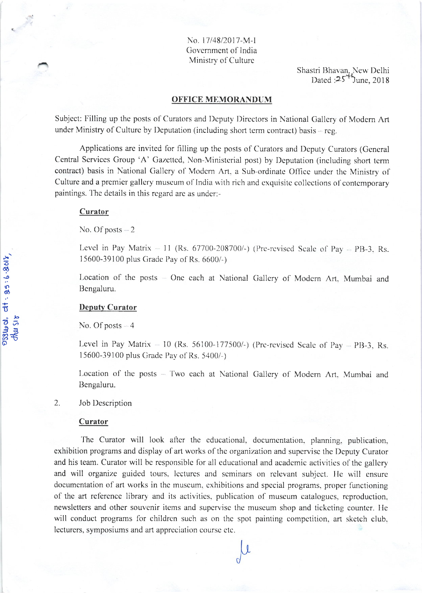No. 17/48/2017-M-I Government of India Ministry of Culture

Shastri Bhavan, New Delhi<br>Dated :25<sup>++</sup>June, 2018

#### **OFFICE MEMORANDUM**

Subject: Filling up the posts of Curators and Deputy Directors in National Gallery of Modern Art under Ministry of Culture by Deputation (including short term contract) basis  $-$  reg.

Applications are invited for filling up the posts of Curators and Deputy Curators (General Central Services Group 'A' Gazetted, Non-Ministerial post) by Deputation (including short term contract) basis in National Gallery of Modern Art. a Sub-ordinate Office under the Ministry of Culture and a premier gallery museum of India with rich and exquisite collections of contemporary paintings. The details in this regard are as under:-

#### Curator

No. Of posts  $-2$ 

Level in Pay Matrix  $-11$  (Rs. 67700-208700/-) (Pre-revised Scale of Pay  $-$  PB-3, Rs. 15600-39100 plus Grade Pay of Rs. 6600/-)

Location of the posts - One each at National Gallery of Modern Art, Mumbai and Bengaluru.

#### **Deputy Curator**

No. Of posts  $-4$ 

Level in Pay Matrix  $-10$  (Rs. 56100-177500/-) (Pre-revised Scale of Pay  $-$  PB-3, Rs. 15600-39100 plus Grade Pay of Rs. 5400/-)

Location of the posts - Two each at National Gallery of Modern Art, Mumbai and Bengaluru.

#### 2. Job Description

#### Curator

The Curator will look after the educational, documentation, planning, publication, exhibition programs and display of art works of the organization and supervise the Deputy Curator and his team. Curator will be responsible for all educational and academic activities of the gallery and will organize guided tours, lectures and seminars on relevant subject. He will ensure documentation of art works in the museum, exhibitions and special programs, proper functioning of the art reference library and its activities, publication of museum catalogues, reproduction, newsletters and other souvenir items and supervise the museum shop and ticketing counter. He will conduct programs for children such as on the spot painting competition, art sketch club, lecturers, symposiums and art appreciation course etc.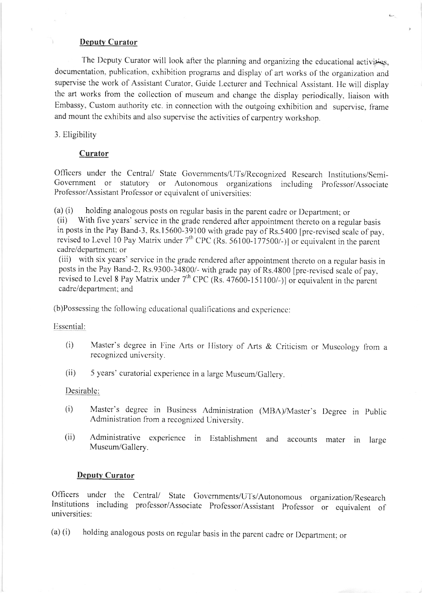#### Deputy Curator

The Deputy Curator will look after the planning and organizing the educational activities, documentation, publication, exhibition programs and display of art works of the organization and supervise the work of Assistant Curator, Guide Lecturer and Technical Assistant. He will display the art works from the collection of museum and change the display periodically, liaison with Embassy, Custom authority etc. in connection with the outgoing exhibition and supervise, frame and mount the cxhibits and also supcrvisc thc activilics of carpentry workshop.

#### 3. Eligibility

#### Curator

Officers under the Central/ State Governments/UTs/Recognized Research Institutions/Semi-Government or statutory or Autonomous organizations including Professor/Associate Professor/Assistant Professor or equivalent of universities:

(a) (i) holding analogous posts on regular basis in the parent cadre or Department; or (ii) With five years' service in the grade rendered after appointment there to on a regular basis in posts in the Pay Band-3, Rs.15600-39100 with grade pay of Rs.5400 [pre-revised scale of pay, revised to Level 10 Pay Matrix under  $7<sup>th</sup>$  CPC (Rs. 56100-177500/-)] or equivalent in the parcnt cadre/department: or

(iii) with six years' service in the grade rendered after appointment thereto on a regular basis in posts in the Pay Band-2, Rs.9300-34800/- with grade pay of Rs.4800 [pre-revised scale of pay, revised to Level 8 Pay Matrix under 7<sup>th</sup> CPC (Rs. 47600-151100/-)] or equivalent in the parent cadre/dcpartment: and

(b)Possessing the following educational qualifications and experience:

Esscntial:

- (i) Master's degree in Fine Arts or History of Arts & Criticism or Museology from a recognized university.
- (ii) 5 ycars' curatorial cxpcriencc in a largc Muscum/Gallcry.

Desirable:

- (i) Master's degree in Business Administration (MBA)/Master's Degree in Public Administration from a recognized University.
- (ii) Administralivc cxpcriencc in Eslablishment and accounts matcr in large Muscum/Gallery.

#### **Deputy Curator**

Officers under the Central/ State Governments/UTs/Autonomous organization/Research Institutions including professor/Associate Professor/Assistant Professor or equivalent of univcrsities:

(a) (i) holding analogous posts on regular basis in thc parcnt cadrc or Dcpartmcnt: or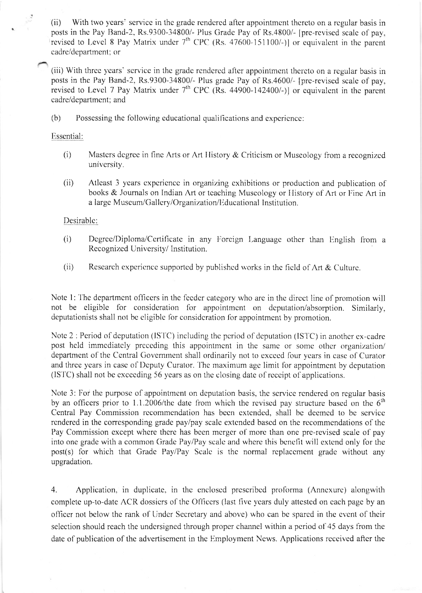$(ii)$ With two years' service in the grade rendered after appointment thereto on a regular basis in posts in the Pay Band-2, Rs.9300-34800/- Plus Grade Pay of Rs.4800/- [pre-revised scale of pay, revised to Level 8 Pay Matrix under 7<sup>th</sup> CPC (Rs. 47600-151100/-)] or equivalent in the parent cadre/department; or

(iii) With three years' service in the grade rendered after appointment thereto on a regular basis in posts in the Pay Band-2, Rs.9300-34800/- Plus grade Pay of Rs.4600/- [pre-revised scale of pay, revised to Level 7 Pay Matrix under  $7<sup>th</sup>$  CPC (Rs. 44900-142400/-)] or equivalent in the parent cadre/department; and

 $(b)$ Possessing the following educational qualifications and experience:

### Essential:

- $(i)$ Masters degree in fine Arts or Art History & Criticism or Museology from a recognized university.
- $(ii)$ Atleast 3 years experience in organizing exhibitions or production and publication of books & Journals on Indian Art or teaching Museology or History of Art or Fine Art in a large Museum/Gallery/Organization/Educational Institution.

#### Desirable:

- $(i)$ Degree/Diploma/Certificate in any Foreign Language other than English from a Recognized University/Institution.
- $(ii)$ Research experience supported by published works in the field of Art & Culture.

Note 1: The department officers in the feeder category who are in the direct line of promotion will not be eligible for consideration for appointment on deputation/absorption. Similarly, deputationists shall not be eligible for consideration for appointment by promotion.

Note 2 : Period of deputation (ISTC) including the period of deputation (ISTC) in another ex-cadre post held immediately preceding this appointment in the same or some other organization/ department of the Central Government shall ordinarily not to exceed four years in case of Curator and three years in case of Deputy Curator. The maximum age limit for appointment by deputation (ISTC) shall not be exceeding 56 years as on the closing date of receipt of applications.

Note 3: For the purpose of appointment on deputation basis, the service rendered on regular basis by an officers prior to 1.1.2006/the date from which the revised pay structure based on the  $6<sup>th</sup>$ Central Pay Commission recommendation has been extended, shall be deemed to be service rendered in the corresponding grade pay/pay scale extended based on the recommendations of the Pay Commission except where there has been merger of more than one pre-revised scale of pay into one grade with a common Grade Pay/Pay scale and where this benefit will extend only for the post(s) for which that Grade Pay/Pay Scale is the normal replacement grade without any upgradation.

4. Application, in duplicate, in the enclosed prescribed proforma (Annexure) alongwith complete up-to-date ACR dossiers of the Officers (last five years duly attested on each page by an officer not below the rank of Under Secretary and above) who can be spared in the event of their selection should reach the undersigned through proper channel within a period of 45 days from the date of publication of the advertisement in the Employment News. Applications received after the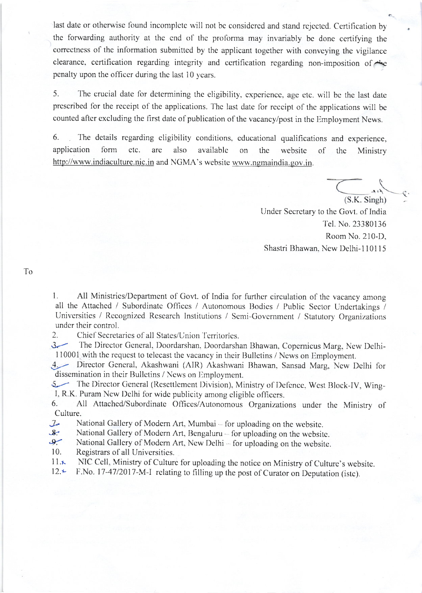last date or otherwise found incomplete will not be considered and stand rejected. Certification by the forwarding authority at the end of the proforma may invariably be done certifying the correctness of the information submitted by the applicant together with conveying the vigilance clearance, certification regarding integrity and certification regarding non-imposition of penalty upon the officer during the last 10 years.

The crucial date for determining the eligibility, experience, age etc. will be the last date  $5<sub>1</sub>$ prescribed for the receipt of the applications. The last date for receipt of the applications will be counted after excluding the first date of publication of the vacancy/post in the Employment News.

The details regarding eligibility conditions, educational qualifications and experience, 6. application form etc. are also available on the website of the Ministry http://www.indiaculture.nic.in and NGMA's website www.ngmaindia.gov.in.

> $(S.K.$  Singh) Under Secretary to the Govt. of India Tel. No. 23380136 Room No. 210-D, Shastri Bhawan, New Delhi-110115

To

 $1.$ All Ministries/Department of Govt. of India for further circulation of the vacancy among all the Attached / Subordinate Offices / Autonomous Bodies / Public Sector Undertakings / Universities / Recognized Research Institutions / Semi-Government / Statutory Organizations under their control.

Chief Secretaries of all States/Union Territories.  $2.$ 

 $3-$ The Director General, Doordarshan, Doordarshan Bhawan, Copernicus Marg, New Delhi-110001 with the request to telecast the vacancy in their Bulletins / News on Employment.

 $4-$ Director General, Akashwani (AIR) Akashwani Bhawan, Sansad Marg, New Delhi for dissemination in their Bulletins / News on Employment.

5 The Director General (Resettlement Division), Ministry of Defence, West Block-IV, Wing-I, R.K. Puram New Delhi for wide publicity among eligible officers.

All Attached/Subordinate Offices/Autonomous Organizations under the Ministry of 6. Culture.

National Gallery of Modern Art, Mumbai - for uploading on the website.  $I_{r}$ 

National Gallery of Modern Art, Bengaluru - for uploading on the website.  $8.$ 

 $9 -$ National Gallery of Modern Art, New Delhi - for uploading on the website.

- $10.$ Registrars of all Universities.
- NIC Cell, Ministry of Culture for uploading the notice on Ministry of Culture's website.  $11.x$

F.No. 17-47/2017-M-I relating to filling up the post of Curator on Deputation (istc).  $12.4$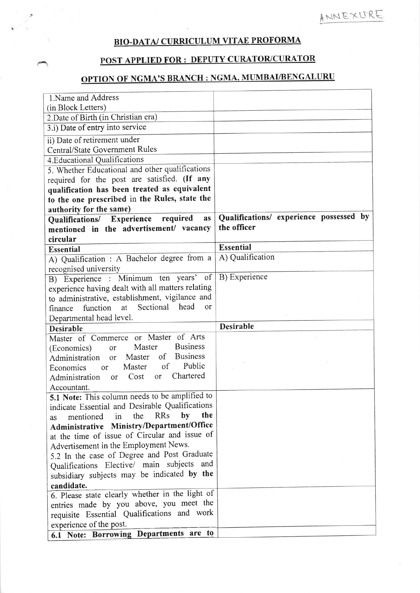# BIO-DATA/ CURRICULUM VITAE PROFORMA

### **POST APPLIED FOR: DEPUTY CURATOR/CURATOR**

# **OPTION OF NGMA'S BRANCH : NGMA, MUMBAI/BENGALURU**

| 1.Name and Address                                                     |                                         |
|------------------------------------------------------------------------|-----------------------------------------|
| (in Block Letters)                                                     |                                         |
| 2. Date of Birth (in Christian era)                                    |                                         |
| 3.i) Date of entry into service                                        |                                         |
| ii) Date of retirement under                                           |                                         |
| <b>Central/State Government Rules</b>                                  |                                         |
| 4. Educational Qualifications                                          |                                         |
| 5. Whether Educational and other qualifications                        |                                         |
| required for the post are satisfied. (If any                           |                                         |
| qualification has been treated as equivalent                           |                                         |
| to the one prescribed in the Rules, state the                          |                                         |
| authority for the same)                                                |                                         |
| required<br>Qualifications/ Experience<br><b>as</b>                    | Qualifications/ experience possessed by |
| mentioned in the advertisement/ vacancy                                | the officer                             |
| circular                                                               |                                         |
| <b>Essential</b>                                                       | <b>Essential</b>                        |
| A) Qualification : A Bachelor degree from a                            | A) Qualification                        |
| recognised university                                                  |                                         |
| B) Experience : Minimum ten years' of                                  | B) Experience                           |
| experience having dealt with all matters relating                      |                                         |
| to administrative, establishment, vigilance and                        |                                         |
| function at Sectional head<br><sub>or</sub><br>finance                 |                                         |
| Departmental head level.                                               |                                         |
| <b>Desirable</b>                                                       | <b>Desirable</b>                        |
| Master of Commerce or Master of Arts                                   |                                         |
| <b>Business</b><br>Master<br>(Economics)<br>or                         |                                         |
| <b>Business</b><br>$\circ$ f<br>Master<br>Administration<br>$\alpha$ r |                                         |
| Public<br>$\circ$ f<br>Master<br>Economics<br>or                       |                                         |
| Chartered<br>Cost<br>or<br>Administration<br><sub>or</sub>             |                                         |
| Accountant.                                                            |                                         |
| 5.1 Note: This column needs to be amplified to                         |                                         |
| indicate Essential and Desirable Qualifications                        |                                         |
| <b>RRs</b><br>by<br>the<br>the<br>in                                   |                                         |
| mentioned<br>as<br>Administrative Ministry/Department/Office           |                                         |
| at the time of issue of Circular and issue of                          |                                         |
|                                                                        |                                         |
| Advertisement in the Employment News.                                  |                                         |
| 5.2 In the case of Degree and Post Graduate                            |                                         |
| Qualifications Elective/ main subjects and                             |                                         |
| subsidiary subjects may be indicated by the                            |                                         |
| candidate.                                                             |                                         |
| 6. Please state clearly whether in the light of                        |                                         |
| entries made by you above, you meet the                                |                                         |
| requisite Essential Qualifications and work                            |                                         |
| experience of the post.                                                |                                         |
| 6.1 Note: Borrowing Departments are to                                 |                                         |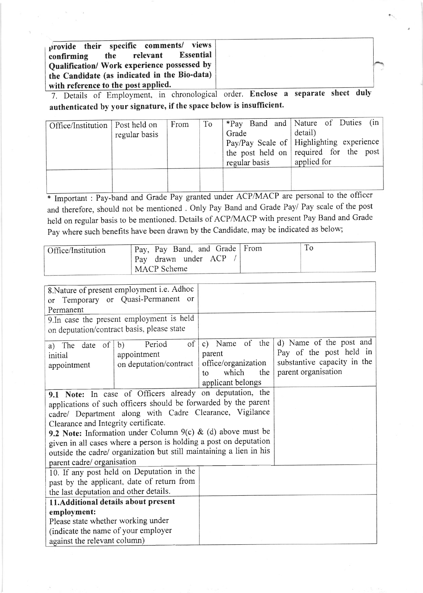provide their specific comments/ views<br>confirming the relevant Essential confirming the relevant Essential Qualification/ Work experience possessed by the Candidate (as indicated in the Bio-data) with reference to the post applied.

7. Details of EmploYment, in chronological order. Enclose <sup>a</sup> separate sheet duly authenticated by your signature, if the space below is insufficient.

| Office/Institution   Post held on | regular basis | From | To | Grade<br>regular basis | $*Pay$ Band and Nature of Duties (in<br>detail)<br>$\vert$ Pay/Pay Scale of   Highlighting experience  <br>the post held on required for the post<br>applied for |
|-----------------------------------|---------------|------|----|------------------------|------------------------------------------------------------------------------------------------------------------------------------------------------------------|
|                                   |               |      |    |                        |                                                                                                                                                                  |

\* Important : Pay-band and Grade Pay granted under ACP/MACP are personal to the officer and therefore, should not be mentioned . Only Pay Band and Grade Pay/ Pay scale of the post held on regular basis to be mentioned. Details of ACP/MACP with present Pay Band and Grade Pay where such benefits have been drawn by the Candidate, may be indicated as below;

| Office/Institution | Pay, Pay Band, and Grade   From | To |
|--------------------|---------------------------------|----|
|                    | drawn under ACP<br>Pay          |    |
|                    | MACP Scheme                     |    |

| <sub>or</sub><br>Permanent                                                                                                        | 8. Nature of present employment i.e. Adhoc<br>Temporary or Quasi-Permanent or                                                                                                                                                                                                                                                                                                                     |                                                                                                      |                                                                                                          |
|-----------------------------------------------------------------------------------------------------------------------------------|---------------------------------------------------------------------------------------------------------------------------------------------------------------------------------------------------------------------------------------------------------------------------------------------------------------------------------------------------------------------------------------------------|------------------------------------------------------------------------------------------------------|----------------------------------------------------------------------------------------------------------|
|                                                                                                                                   | 9. In case the present employment is held                                                                                                                                                                                                                                                                                                                                                         |                                                                                                      |                                                                                                          |
|                                                                                                                                   | on deputation/contract basis, please state                                                                                                                                                                                                                                                                                                                                                        |                                                                                                      |                                                                                                          |
| a) The date of<br>initial<br>appointment                                                                                          | of<br>Period<br>b)<br>appointment<br>on deputation/contract                                                                                                                                                                                                                                                                                                                                       | c) Name of the<br>parent<br>office/organization<br>the<br>which<br>$\mathbf{t}$<br>applicant belongs | d) Name of the post and<br>Pay of the post held in<br>substantive capacity in the<br>parent organisation |
| Clearance and Integrity certificate.<br>parent cadre/ organisation                                                                | 9.1 Note: In case of Officers already on deputation, the<br>applications of such officers should be forwarded by the parent<br>cadre/ Department along with Cadre Clearance, Vigilance<br>9.2 Note: Information under Column 9(c) & (d) above must be<br>given in all cases where a person is holding a post on deputation<br>outside the cadre/ organization but still maintaining a lien in his |                                                                                                      |                                                                                                          |
| 10. If any post held on Deputation in the<br>past by the applicant, date of return from<br>the last deputation and other details. |                                                                                                                                                                                                                                                                                                                                                                                                   |                                                                                                      |                                                                                                          |
| 11. Additional details about present                                                                                              |                                                                                                                                                                                                                                                                                                                                                                                                   |                                                                                                      |                                                                                                          |
| employment:                                                                                                                       |                                                                                                                                                                                                                                                                                                                                                                                                   |                                                                                                      |                                                                                                          |
| Please state whether working under                                                                                                |                                                                                                                                                                                                                                                                                                                                                                                                   |                                                                                                      |                                                                                                          |
| (indicate the name of your employer                                                                                               |                                                                                                                                                                                                                                                                                                                                                                                                   |                                                                                                      |                                                                                                          |
| against the relevant column)                                                                                                      |                                                                                                                                                                                                                                                                                                                                                                                                   |                                                                                                      |                                                                                                          |